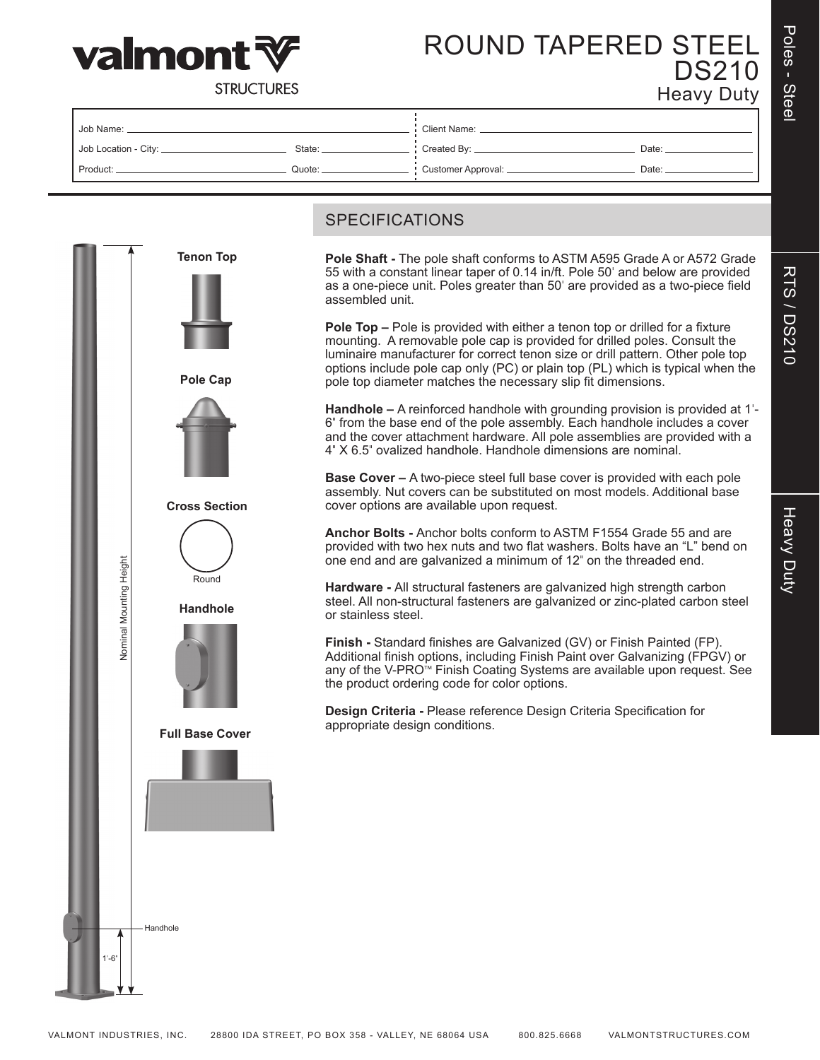





ROUND TAPERED STEEL DS210 Heavy Duty

**STRUCTURES** 

| Job Name:              |          | Client Name: _                          |       |  |  |  |
|------------------------|----------|-----------------------------------------|-------|--|--|--|
| Job Location - City: _ | State: _ | $\frac{1}{2}$ Created By: $\frac{1}{2}$ | Date: |  |  |  |
| Product:               | Quote:   | : Customer Approval: _                  | Date: |  |  |  |